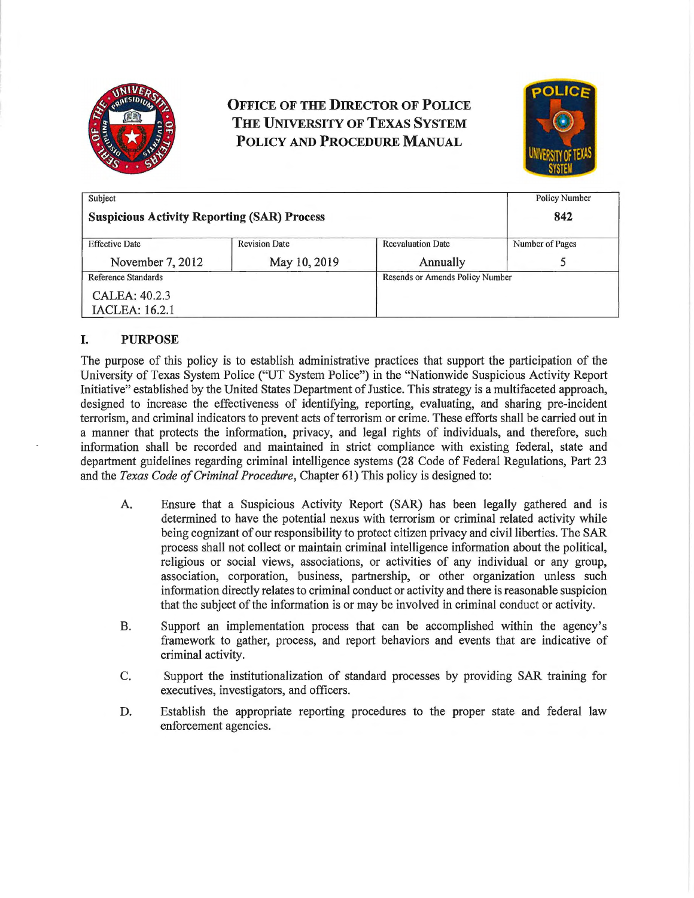

# **OFFICE OF THE DIRECTOR OF POLICE THE UNIVERSITY OF TEXAS SYSTEM POLICY AND PROCEDURE MANUAL**



| Subject                                            |                      |                                 | <b>Policy Number</b> |
|----------------------------------------------------|----------------------|---------------------------------|----------------------|
| <b>Suspicious Activity Reporting (SAR) Process</b> |                      |                                 | 842                  |
| <b>Effective Date</b>                              | <b>Revision Date</b> | <b>Reevaluation Date</b>        | Number of Pages      |
| November 7, 2012                                   | May 10, 2019         | Annually                        |                      |
| Reference Standards                                |                      | Resends or Amends Policy Number |                      |
| CALEA: 40.2.3                                      |                      |                                 |                      |
| <b>IACLEA: 16.2.1</b>                              |                      |                                 |                      |

## **I. PURPOSE**

The purpose of this policy is to establish administrative practices that support the participation of the University of Texas System Police ("UT System Police") in the "Nationwide Suspicious Activity Report Initiative" established by the United States Department of Justice. This strategy is a multifaceted approach, designed to increase the effectiveness of identifying, reporting, evaluating, and sharing pre-incident terrorism, and criminal indicators to prevent acts of terrorism or crime. These efforts shall be carried out in a manner that protects the information, privacy, and legal rights of individuals, and therefore, such information shall be recorded and maintained in strict compliance with existing federal, state and depmtment guidelines regarding criminal intelligence systems (28 Code of Federal Regulations, Patt 23 and the *Texas Code of Criminal Procedure,* Chapter 61) This policy is designed to:

- A. Ensure that a Suspicious Activity Report (SAR) has been legally gathered and is determined to have the potential nexus with terrorism or criminal related activity while being cognizant of our responsibility to protect citizen privacy and civil liberties. The SAR process shall not collect or maintain criminal intelligence information about the political, religious or social views, associations, or activities of any individual or any group, association, corporation, business, pattnership, or other organization unless such information directly relates to criminal conduct or activity and there is reasonable suspicion that the subject of the information is or may be involved in criminal conduct or activity.
- B. Support an implementation process that can be accomplished within the agency's framework to gather, process, and report behaviors and events that are indicative of criminal activity.
- C. Support the institutionalization of standard processes by providing SAR training for executives, investigators, and officers.
- D. Establish the appropriate reporting procedures to the proper state and federal law enforcement agencies.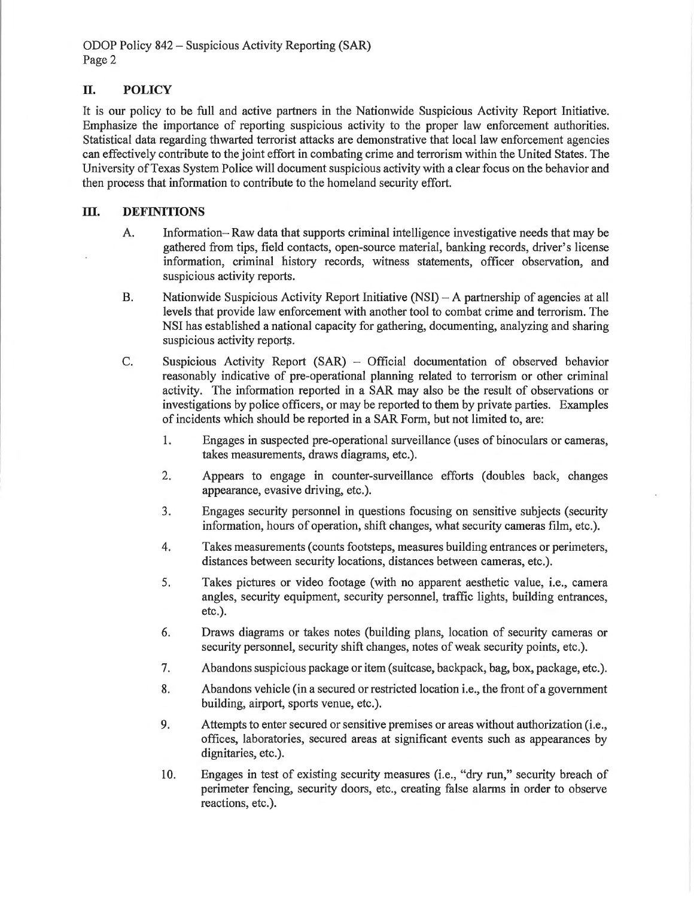ODOP Policy 842 - Suspicious Activity Reporting (SAR) Page 2

## **IT. POLICY**

It is our policy to be full and active partners in the Nationwide Suspicious Activity Report Initiative. Emphasize the importance of reporting suspicious activity to the proper law enforcement authorities. Statistical data regarding thwatied terrorist attacks are demonstrative that local law enforcement agencies can effectively contribute to the joint effort in combating crime and terrorism within the United States. The University of Texas System Police will document suspicious activity with a clear focus on the behavior and then process that information to contribute to the homeland security effort.

#### **III.** DEFINITIONS

- A. Information-Raw data that supports criminal intelligence investigative needs that may be gathered from tips, field contacts, open-source material, banking records, driver's license information, criminal history records, witness statements, officer observation, and suspicious activity reports.
- B. Nationwide Suspicious Activity Report Initiative (NSI) A partnership of agencies at all levels that provide law enforcement with another tool to combat crime and terrorism. The NSI has established a national capacity for gathering, documenting, analyzing and sharing suspicious activity reports.
- C. Suspicious Activity Report (SAR) Official documentation of observed behavior reasonably indicative of pre-operational planning related to terrorism or other criminal activity. The information reported in a SAR may also be the result of observations or investigations by police officers, or may be reported to them by private parties. Examples of incidents which should be reported in a SAR Form, but not limited to, are:
	- 1. Engages in suspected pre-operational surveillance (uses of binoculars or cameras, takes measurements, draws diagrams, etc.).
	- 2. Appears to engage in counter-surveillance efforts (doubles back, changes appearance, evasive driving, etc.).
	- 3. Engages security personnel in questions focusing on sensitive subjects (security information, hours of operation, shift changes, what security cameras film, etc.).
	- 4. Takes measurements ( counts footsteps, measures building entrances or perimeters, distances between security locations, distances between cameras, etc.).
	- 5. Takes pictures or video footage (with no apparent aesthetic value, i.e., camera angles, security equipment, security personnel, traffic lights, building entrances, etc.).
	- 6. Draws diagrams or takes notes (building plans, location of security cameras or security personnel, security shift changes, notes of weak security points, etc.).
	- 7. Abandons suspicious package or item (suitcase, backpack, bag, box, package, etc.).
	- 8. Abandons vehicle (in a secured or restricted location i.e., the front of a government building, airport, sports venue, etc.).
	- 9. Attempts to enter secured or sensitive premises or areas without authorization (i.e., offices, laboratories, secured areas at significant events such as appearances by dignitaries, etc.).
	- 10. Engages in test of existing security measures (i.e., "dry run," security breach of perimeter fencing, security doors, etc., creating false alarms in order to observe reactions, etc.).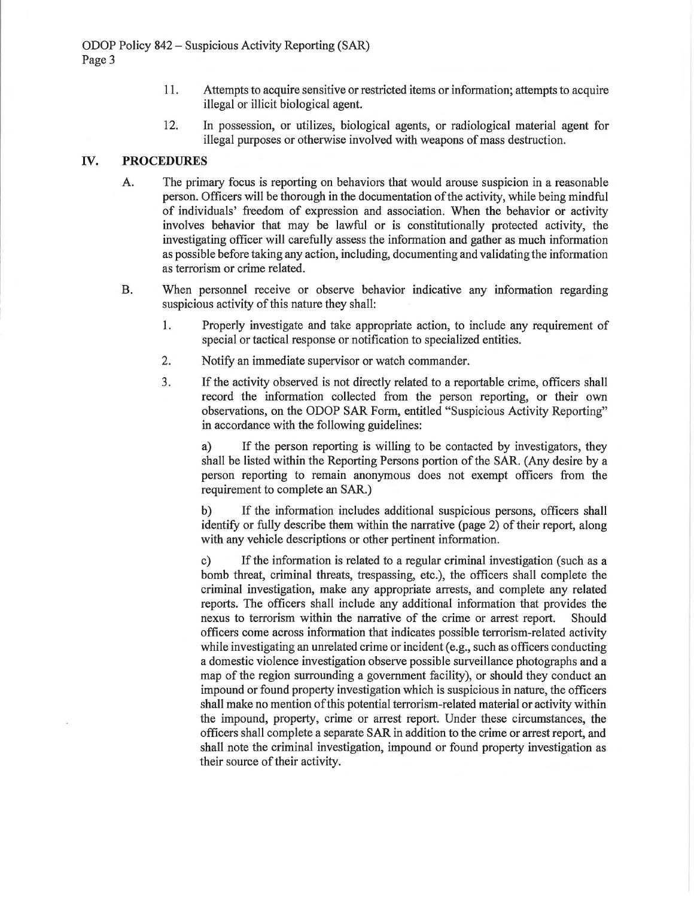- 11. Attempts to acquire sensitive or restricted items or information; attempts to acquire illegal or illicit biological agent.
- 12. In possession, or utilizes, biological agents, or radiological material agent for illegal purposes or otherwise involved with weapons of mass destruction.

#### IV. **PROCEDURES**

- A. The primary focus is reporting on behaviors that would arouse suspicion in a reasonable person. Officers will be thorough in the documentation of the activity, while being mindful of individuals' freedom of expression and association. When the behavior or activity involves behavior that may be lawful or is constitutionally protected activity, the investigating officer will carefully assess the information and gather as much information as possible before taking any action, including, documenting and validating the information as terrorism or crime related.
- B. When personnel receive or observe behavior indicative any information regarding suspicious activity of this nature they shall:
	- 1. Properly investigate and take appropriate action, to include any requirement of special or tactical response or notification to specialized entities.
	- 2. Notify an immediate supervisor or watch commander.
	- 3. If the activity observed is not directly related to a reportable crime, officers shall record the information collected from the person reporting, or their own observations, on the ODOP SAR Form, entitled "Suspicious Activity Reporting" in accordance with the following guidelines:

a) If the person reporting is willing to be contacted by investigators, they shall be listed within the Reporting Persons portion of the SAR. (Any desire by a person reporting to remain anonymous does not exempt officers from the requirement to complete an **SAR.)** 

b) If the information includes additional suspicious persons, officers shall identify or fully describe them within the narrative (page 2) of their report, along with any vehicle descriptions or other pertinent information.

c) If the information is related to a regular criminal investigation (such as a bomb threat, criminal threats, trespassing, etc.), the officers shall complete the criminal investigation, make any appropriate arrests, and complete any related reports. The officers shall include any additional information that provides the nexus to terrorism within the narrative of the crime or arrest report. Should officers come across information that indicates possible terrorism-related activity while investigating an unrelated crime or incident (e.g., such as officers conducting a domestic violence investigation observe possible surveillance photographs and a map of the region surrounding a government facility), or should they conduct an impound or found property investigation which is suspicious in nature, the officers shall make no mention of this potential terrorism-related material or activity within the impound, property, crime or arrest report. Under these circumstances, the officers shall complete a separate SAR in addition to the crime or arrest report, and shall note the criminal investigation, impound or found property investigation as their source of their activity.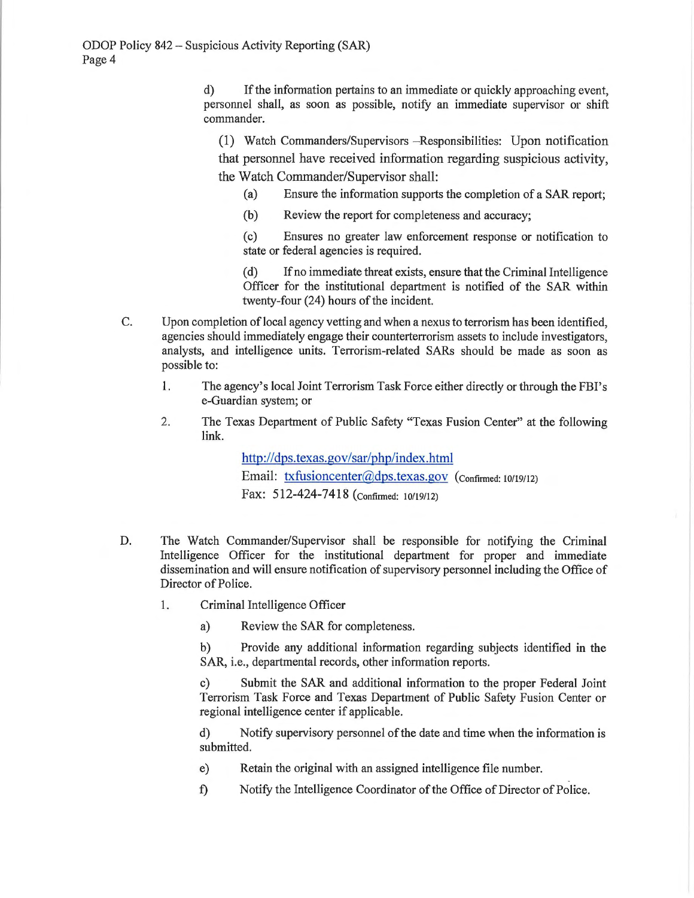d) If the information pertains to an immediate or quickly approaching event, personnel shall, as soon as possible, notify an immediate supervisor or shift commander.

(1) Watch Commanders/Supervisors -Responsibilities: Upon notification that personnel have received information regarding suspicious activity, the Watch Commander/Supervisor shall:

(a) Ensure the information supports the completion of a SAR report;

(b) Review the report for completeness and accuracy;

( c) Ensures no greater law enforcement response or notification to state or federal agencies is required.

( d) If no immediate threat exists, ensure that the Criminal Intelligence Officer for the institutional department is notified of the SAR within twenty-four (24) hours of the incident.

- C. Upon completion of local agency vetting and when a nexus to terrorism has been identified, agencies should immediately engage their counterterrorism assets to include investigators, analysts, and intelligence units. Terrorism-related SARs should be made as soon as possible to:
	- 1. The agency's local Joint Terrorism Task Force either directly or through the FBI's e-Guardian system; or
	- 2. The Texas Department of Public Safety "Texas Fusion Center" at the following link.

http://dps.texas.gov/sar/php/index.html Email: txfusioncenter@dps.texas.gov (confirmed: 10/19/12) Fax: 512-424-7418 (confirmed: 10/19/12)

- D. The Watch Commander/Supervisor shall be responsible for notifying the Criminal Intelligence Officer for the institutional department for proper and immediate dissemination and will ensure notification of supervisory personnel including the Office of Director of Police.
	- 1. Criminal Intelligence Officer

a) Review the SAR for completeness.

b) Provide any additional information regarding subjects identified in the SAR, i.e., departmental records, other information reports.

c) Submit the SAR and additional information to the proper Federal Joint Terrorism Task Force and Texas Department of Public Safety Fusion Center or regional intelligence center if applicable.

d) Notify supervisory personnel of the date and time when the information is submitted.

- e) Retain the original with an assigned intelligence file number.
- f) Notify the Intelligence Coordinator of the Office of Director of Police.